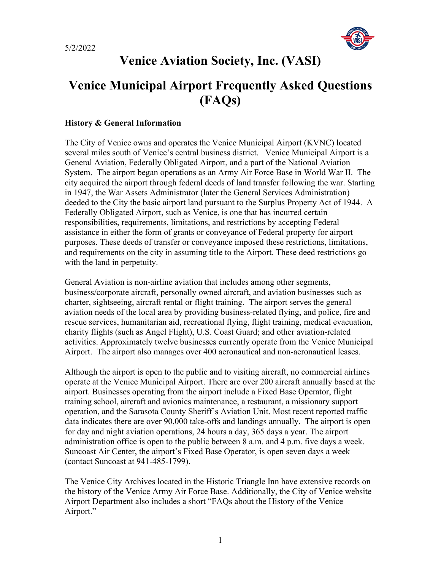

# **Venice Aviation Society, Inc. (VASI)**

# **Venice Municipal Airport Frequently Asked Questions (FAQs)**

## **History & General Information**

The City of Venice owns and operates the Venice Municipal Airport (KVNC) located several miles south of Venice's central business district. Venice Municipal Airport is a General Aviation, Federally Obligated Airport, and a part of the National Aviation System. The airport began operations as an Army Air Force Base in World War II. The city acquired the airport through federal deeds of land transfer following the war. Starting in 1947, the War Assets Administrator (later the General Services Administration) deeded to the City the basic airport land pursuant to the Surplus Property Act of 1944. A Federally Obligated Airport, such as Venice, is one that has incurred certain responsibilities, requirements, limitations, and restrictions by accepting Federal assistance in either the form of grants or conveyance of Federal property for airport purposes. These deeds of transfer or conveyance imposed these restrictions, limitations, and requirements on the city in assuming title to the Airport. These deed restrictions go with the land in perpetuity.

General Aviation is non-airline aviation that includes among other segments, business/corporate aircraft, personally owned aircraft, and aviation businesses such as charter, sightseeing, aircraft rental or flight training. The airport serves the general aviation needs of the local area by providing business-related flying, and police, fire and rescue services, humanitarian aid, recreational flying, flight training, medical evacuation, charity flights (such as Angel Flight), U.S. Coast Guard; and other aviation-related activities. Approximately twelve businesses currently operate from the Venice Municipal Airport. The airport also manages over 400 aeronautical and non-aeronautical leases.

Although the airport is open to the public and to visiting aircraft, no commercial airlines operate at the Venice Municipal Airport. There are over 200 aircraft annually based at the airport. Businesses operating from the airport include a Fixed Base Operator, flight training school, aircraft and avionics maintenance, a restaurant, a missionary support operation, and the Sarasota County Sheriff's Aviation Unit. Most recent reported traffic data indicates there are over 90,000 take-offs and landings annually. The airport is open for day and night aviation operations, 24 hours a day, 365 days a year. The airport administration office is open to the public between 8 a.m. and 4 p.m. five days a week. Suncoast Air Center, the airport's Fixed Base Operator, is open seven days a week (contact Suncoast at 941-485-1799).

The Venice City Archives located in the Historic Triangle Inn have extensive records on the history of the Venice Army Air Force Base. Additionally, the City of Venice website Airport Department also includes a short "FAQs about the History of the Venice Airport."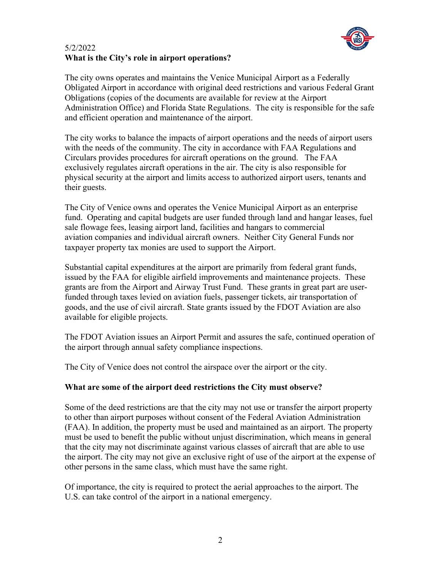

# 5/2/2022 **What is the City's role in airport operations?**

The city owns operates and maintains the Venice Municipal Airport as a Federally Obligated Airport in accordance with original deed restrictions and various Federal Grant Obligations (copies of the documents are available for review at the Airport Administration Office) and Florida State Regulations. The city is responsible for the safe and efficient operation and maintenance of the airport.

The city works to balance the impacts of airport operations and the needs of airport users with the needs of the community. The city in accordance with FAA Regulations and Circulars provides procedures for aircraft operations on the ground. The FAA exclusively regulates aircraft operations in the air. The city is also responsible for physical security at the airport and limits access to authorized airport users, tenants and their guests.

The City of Venice owns and operates the Venice Municipal Airport as an enterprise fund. Operating and capital budgets are user funded through land and hangar leases, fuel sale flowage fees, leasing airport land, facilities and hangars to commercial aviation companies and individual aircraft owners. Neither City General Funds nor taxpayer property tax monies are used to support the Airport.

Substantial capital expenditures at the airport are primarily from federal grant funds, issued by the FAA for eligible airfield improvements and maintenance projects. These grants are from the Airport and Airway Trust Fund. These grants in great part are userfunded through taxes levied on aviation fuels, passenger tickets, air transportation of goods, and the use of civil aircraft. State grants issued by the FDOT Aviation are also available for eligible projects.

The FDOT Aviation issues an Airport Permit and assures the safe, continued operation of the airport through annual safety compliance inspections.

The City of Venice does not control the airspace over the airport or the city.

# **What are some of the airport deed restrictions the City must observe?**

Some of the deed restrictions are that the city may not use or transfer the airport property to other than airport purposes without consent of the Federal Aviation Administration (FAA). In addition, the property must be used and maintained as an airport. The property must be used to benefit the public without unjust discrimination, which means in general that the city may not discriminate against various classes of aircraft that are able to use the airport. The city may not give an exclusive right of use of the airport at the expense of other persons in the same class, which must have the same right.

Of importance, the city is required to protect the aerial approaches to the airport. The U.S. can take control of the airport in a national emergency.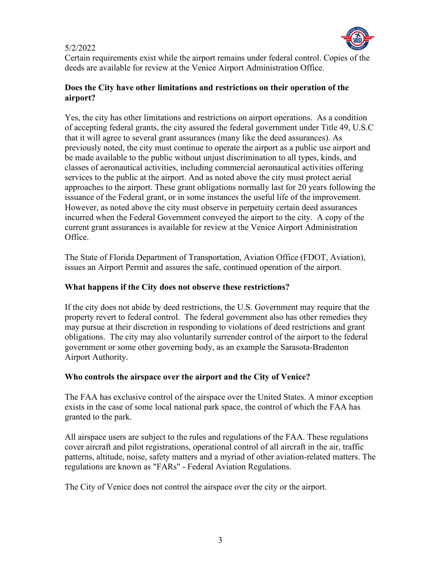

Certain requirements exist while the airport remains under federal control. Copies of the deeds are available for review at the Venice Airport Administration Office.

# **Does the City have other limitations and restrictions on their operation of the airport?**

Yes, the city has other limitations and restrictions on airport operations. As a condition of accepting federal grants, the city assured the federal government under Title 49, U.S.C that it will agree to several grant assurances (many like the deed assurances). As previously noted, the city must continue to operate the airport as a public use airport and be made available to the public without unjust discrimination to all types, kinds, and classes of aeronautical activities, including commercial aeronautical activities offering services to the public at the airport. And as noted above the city must protect aerial approaches to the airport. These grant obligations normally last for 20 years following the issuance of the Federal grant, or in some instances the useful life of the improvement. However, as noted above the city must observe in perpetuity certain deed assurances incurred when the Federal Government conveyed the airport to the city. A copy of the current grant assurances is available for review at the Venice Airport Administration Office.

The State of Florida Department of Transportation, Aviation Office (FDOT, Aviation), issues an Airport Permit and assures the safe, continued operation of the airport.

# **What happens if the City does not observe these restrictions?**

If the city does not abide by deed restrictions, the U.S. Government may require that the property revert to federal control. The federal government also has other remedies they may pursue at their discretion in responding to violations of deed restrictions and grant obligations. The city may also voluntarily surrender control of the airport to the federal government or some other governing body, as an example the Sarasota-Bradenton Airport Authority.

# **Who controls the airspace over the airport and the City of Venice?**

The FAA has exclusive control of the airspace over the United States. A minor exception exists in the case of some local national park space, the control of which the FAA has granted to the park.

All airspace users are subject to the rules and regulations of the FAA. These regulations cover aircraft and pilot registrations, operational control of all aircraft in the air, traffic patterns, altitude, noise, safety matters and a myriad of other aviation-related matters. The regulations are known as "FARs" - Federal Aviation Regulations.

The City of Venice does not control the airspace over the city or the airport.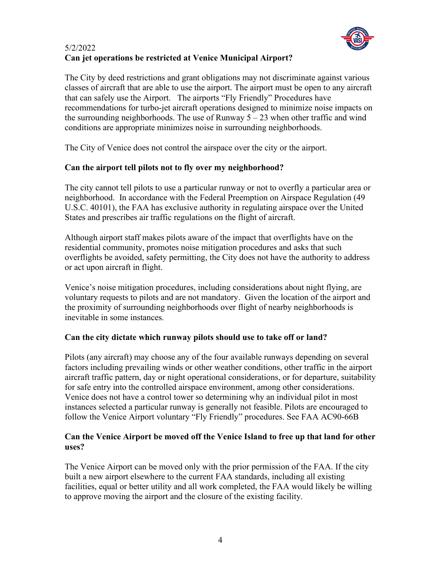

# 5/2/2022 **Can jet operations be restricted at Venice Municipal Airport?**

The City by deed restrictions and grant obligations may not discriminate against various classes of aircraft that are able to use the airport. The airport must be open to any aircraft that can safely use the Airport. The airports "Fly Friendly" Procedures have recommendations for turbo-jet aircraft operations designed to minimize noise impacts on the surrounding neighborhoods. The use of Runway  $5 - 23$  when other traffic and wind conditions are appropriate minimizes noise in surrounding neighborhoods.

The City of Venice does not control the airspace over the city or the airport.

# **Can the airport tell pilots not to fly over my neighborhood?**

The city cannot tell pilots to use a particular runway or not to overfly a particular area or neighborhood. In accordance with the Federal Preemption on Airspace Regulation (49 U.S.C. 40101), the FAA has exclusive authority in regulating airspace over the United States and prescribes air traffic regulations on the flight of aircraft.

Although airport staff makes pilots aware of the impact that overflights have on the residential community, promotes noise mitigation procedures and asks that such overflights be avoided, safety permitting, the City does not have the authority to address or act upon aircraft in flight.

Venice's noise mitigation procedures, including considerations about night flying, are voluntary requests to pilots and are not mandatory. Given the location of the airport and the proximity of surrounding neighborhoods over flight of nearby neighborhoods is inevitable in some instances.

# **Can the city dictate which runway pilots should use to take off or land?**

Pilots (any aircraft) may choose any of the four available runways depending on several factors including prevailing winds or other weather conditions, other traffic in the airport aircraft traffic pattern, day or night operational considerations, or for departure, suitability for safe entry into the controlled airspace environment, among other considerations. Venice does not have a control tower so determining why an individual pilot in most instances selected a particular runway is generally not feasible. Pilots are encouraged to follow the Venice Airport voluntary "Fly Friendly" procedures. See FAA AC90-66B

#### **Can the Venice Airport be moved off the Venice Island to free up that land for other uses?**

The Venice Airport can be moved only with the prior permission of the FAA. If the city built a new airport elsewhere to the current FAA standards, including all existing facilities, equal or better utility and all work completed, the FAA would likely be willing to approve moving the airport and the closure of the existing facility.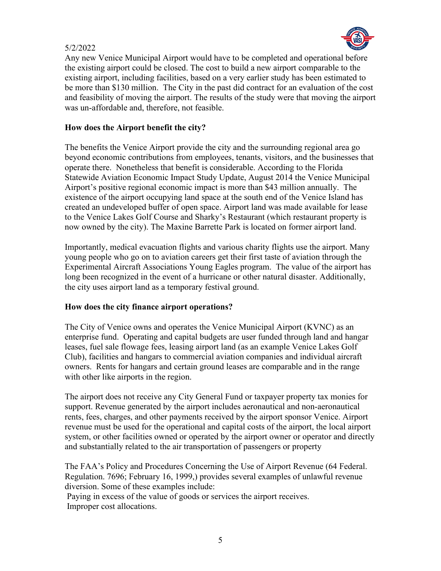

Any new Venice Municipal Airport would have to be completed and operational before the existing airport could be closed. The cost to build a new airport comparable to the existing airport, including facilities, based on a very earlier study has been estimated to be more than \$130 million. The City in the past did contract for an evaluation of the cost and feasibility of moving the airport. The results of the study were that moving the airport was un-affordable and, therefore, not feasible.

## **How does the Airport benefit the city?**

The benefits the Venice Airport provide the city and the surrounding regional area go beyond economic contributions from employees, tenants, visitors, and the businesses that operate there. Nonetheless that benefit is considerable. According to the Florida Statewide Aviation Economic Impact Study Update, August 2014 the Venice Municipal Airport's positive regional economic impact is more than \$43 million annually. The existence of the airport occupying land space at the south end of the Venice Island has created an undeveloped buffer of open space. Airport land was made available for lease to the Venice Lakes Golf Course and Sharky's Restaurant (which restaurant property is now owned by the city). The Maxine Barrette Park is located on former airport land.

Importantly, medical evacuation flights and various charity flights use the airport. Many young people who go on to aviation careers get their first taste of aviation through the Experimental Aircraft Associations Young Eagles program. The value of the airport has long been recognized in the event of a hurricane or other natural disaster. Additionally, the city uses airport land as a temporary festival ground.

#### **How does the city finance airport operations?**

The City of Venice owns and operates the Venice Municipal Airport (KVNC) as an enterprise fund. Operating and capital budgets are user funded through land and hangar leases, fuel sale flowage fees, leasing airport land (as an example Venice Lakes Golf Club), facilities and hangars to commercial aviation companies and individual aircraft owners. Rents for hangars and certain ground leases are comparable and in the range with other like airports in the region.

The airport does not receive any City General Fund or taxpayer property tax monies for support. Revenue generated by the airport includes aeronautical and non-aeronautical rents, fees, charges, and other payments received by the airport sponsor Venice. Airport revenue must be used for the operational and capital costs of the airport, the local airport system, or other facilities owned or operated by the airport owner or operator and directly and substantially related to the air transportation of passengers or property

The FAA's Policy and Procedures Concerning the Use of Airport Revenue (64 Federal. Regulation. 7696; February 16, 1999,) provides several examples of unlawful revenue diversion. Some of these examples include:

Paying in excess of the value of goods or services the airport receives. Improper cost allocations.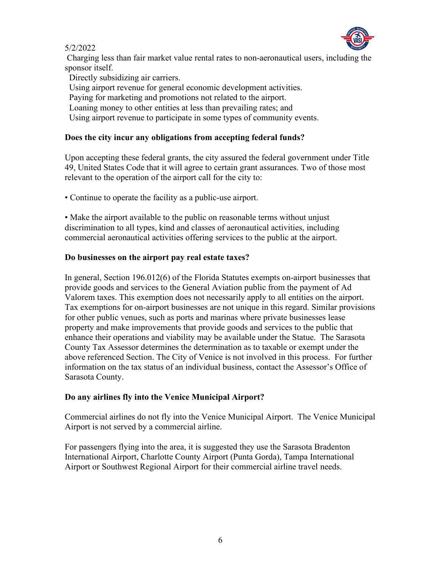

Charging less than fair market value rental rates to non-aeronautical users, including the sponsor itself.

Directly subsidizing air carriers.

Using airport revenue for general economic development activities.

Paying for marketing and promotions not related to the airport.

Loaning money to other entities at less than prevailing rates; and

Using airport revenue to participate in some types of community events.

# **Does the city incur any obligations from accepting federal funds?**

Upon accepting these federal grants, the city assured the federal government under Title 49, United States Code that it will agree to certain grant assurances. Two of those most relevant to the operation of the airport call for the city to:

• Continue to operate the facility as a public-use airport.

• Make the airport available to the public on reasonable terms without unjust discrimination to all types, kind and classes of aeronautical activities, including commercial aeronautical activities offering services to the public at the airport.

# **Do businesses on the airport pay real estate taxes?**

In general, Section 196.012(6) of the Florida Statutes exempts on-airport businesses that provide goods and services to the General Aviation public from the payment of Ad Valorem taxes. This exemption does not necessarily apply to all entities on the airport. Tax exemptions for on-airport businesses are not unique in this regard. Similar provisions for other public venues, such as ports and marinas where private businesses lease property and make improvements that provide goods and services to the public that enhance their operations and viability may be available under the Statue. The Sarasota County Tax Assessor determines the determination as to taxable or exempt under the above referenced Section. The City of Venice is not involved in this process. For further information on the tax status of an individual business, contact the Assessor's Office of Sarasota County.

# **Do any airlines fly into the Venice Municipal Airport?**

Commercial airlines do not fly into the Venice Municipal Airport. The Venice Municipal Airport is not served by a commercial airline.

For passengers flying into the area, it is suggested they use the Sarasota Bradenton International Airport, Charlotte County Airport (Punta Gorda), Tampa International Airport or Southwest Regional Airport for their commercial airline travel needs.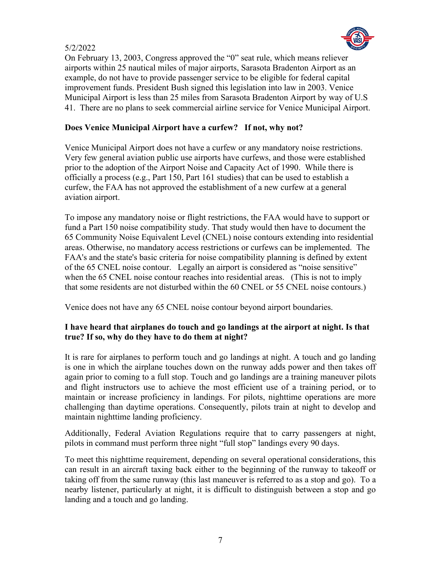

On February 13, 2003, Congress approved the "0" seat rule, which means reliever airports within 25 nautical miles of major airports, Sarasota Bradenton Airport as an example, do not have to provide passenger service to be eligible for federal capital improvement funds. President Bush signed this legislation into law in 2003. Venice Municipal Airport is less than 25 miles from Sarasota Bradenton Airport by way of U.S 41. There are no plans to seek commercial airline service for Venice Municipal Airport.

# **Does Venice Municipal Airport have a curfew? If not, why not?**

Venice Municipal Airport does not have a curfew or any mandatory noise restrictions. Very few general aviation public use airports have curfews, and those were established prior to the adoption of the Airport Noise and Capacity Act of 1990. While there is officially a process (e.g., Part 150, Part 161 studies) that can be used to establish a curfew, the FAA has not approved the establishment of a new curfew at a general aviation airport.

To impose any mandatory noise or flight restrictions, the FAA would have to support or fund a Part 150 noise compatibility study. That study would then have to document the 65 Community Noise Equivalent Level (CNEL) noise contours extending into residential areas. Otherwise, no mandatory access restrictions or curfews can be implemented. The FAA's and the state's basic criteria for noise compatibility planning is defined by extent of the 65 CNEL noise contour. Legally an airport is considered as "noise sensitive" when the 65 CNEL noise contour reaches into residential areas. (This is not to imply that some residents are not disturbed within the 60 CNEL or 55 CNEL noise contours.)

Venice does not have any 65 CNEL noise contour beyond airport boundaries.

# **I have heard that airplanes do touch and go landings at the airport at night. Is that true? If so, why do they have to do them at night?**

It is rare for airplanes to perform touch and go landings at night. A touch and go landing is one in which the airplane touches down on the runway adds power and then takes off again prior to coming to a full stop. Touch and go landings are a training maneuver pilots and flight instructors use to achieve the most efficient use of a training period, or to maintain or increase proficiency in landings. For pilots, nighttime operations are more challenging than daytime operations. Consequently, pilots train at night to develop and maintain nighttime landing proficiency.

Additionally, Federal Aviation Regulations require that to carry passengers at night, pilots in command must perform three night "full stop" landings every 90 days.

To meet this nighttime requirement, depending on several operational considerations, this can result in an aircraft taxing back either to the beginning of the runway to takeoff or taking off from the same runway (this last maneuver is referred to as a stop and go). To a nearby listener, particularly at night, it is difficult to distinguish between a stop and go landing and a touch and go landing.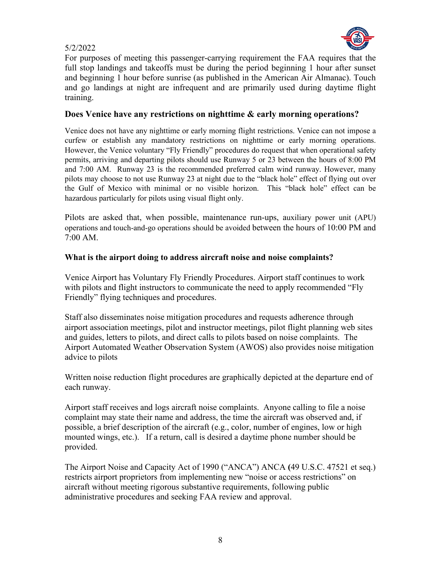

For purposes of meeting this passenger-carrying requirement the FAA requires that the full stop landings and takeoffs must be during the period beginning 1 hour after sunset and beginning 1 hour before sunrise (as published in the American Air Almanac). Touch and go landings at night are infrequent and are primarily used during daytime flight training.

# **Does Venice have any restrictions on nighttime & early morning operations?**

Venice does not have any nighttime or early morning flight restrictions. Venice can not impose a curfew or establish any mandatory restrictions on nighttime or early morning operations. However, the Venice voluntary "Fly Friendly" procedures do request that when operational safety permits, arriving and departing pilots should use Runway 5 or 23 between the hours of 8:00 PM and 7:00 AM. Runway 23 is the recommended preferred calm wind runway. However, many pilots may choose to not use Runway 23 at night due to the "black hole" effect of flying out over the Gulf of Mexico with minimal or no visible horizon. This "black hole" effect can be hazardous particularly for pilots using visual flight only.

Pilots are asked that, when possible, maintenance run-ups, auxiliary power unit (APU) operations and touch-and-go operations should be avoided between the hours of 10:00 PM and 7:00 AM.

# **What is the airport doing to address aircraft noise and noise complaints?**

Venice Airport has Voluntary Fly Friendly Procedures. Airport staff continues to work with pilots and flight instructors to communicate the need to apply recommended "Fly Friendly" flying techniques and procedures.

Staff also disseminates noise mitigation procedures and requests adherence through airport association meetings, pilot and instructor meetings, pilot flight planning web sites and guides, letters to pilots, and direct calls to pilots based on noise complaints. The Airport Automated Weather Observation System (AWOS) also provides noise mitigation advice to pilots

Written noise reduction flight procedures are graphically depicted at the departure end of each runway.

Airport staff receives and logs aircraft noise complaints. Anyone calling to file a noise complaint may state their name and address, the time the aircraft was observed and, if possible, a brief description of the aircraft (e.g., color, number of engines, low or high mounted wings, etc.). If a return, call is desired a daytime phone number should be provided.

The Airport Noise and Capacity Act of 1990 ("ANCA") ANCA **(**49 U.S.C. 47521 et seq.) restricts airport proprietors from implementing new "noise or access restrictions" on aircraft without meeting rigorous substantive requirements, following public administrative procedures and seeking FAA review and approval.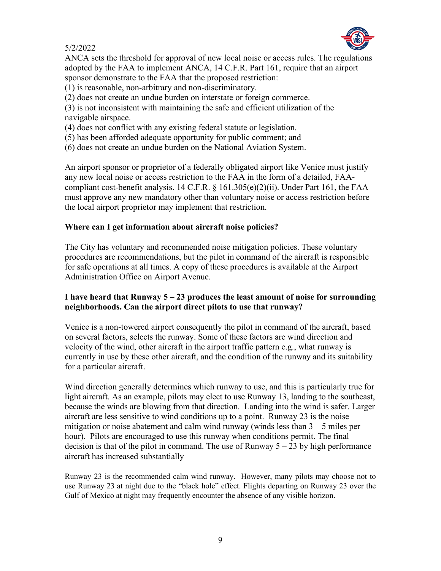

ANCA sets the threshold for approval of new local noise or access rules. The regulations adopted by the FAA to implement ANCA, 14 C.F.R. Part 161, require that an airport sponsor demonstrate to the FAA that the proposed restriction:

- (1) is reasonable, non-arbitrary and non-discriminatory.
- (2) does not create an undue burden on interstate or foreign commerce.

(3) is not inconsistent with maintaining the safe and efficient utilization of the navigable airspace.

- (4) does not conflict with any existing federal statute or legislation.
- (5) has been afforded adequate opportunity for public comment; and
- (6) does not create an undue burden on the National Aviation System.

An airport sponsor or proprietor of a federally obligated airport like Venice must justify any new local noise or access restriction to the FAA in the form of a detailed, FAAcompliant cost-benefit analysis. 14 C.F.R.  $\S$  161.305(e)(2)(ii). Under Part 161, the FAA must approve any new mandatory other than voluntary noise or access restriction before the local airport proprietor may implement that restriction.

#### **Where can I get information about aircraft noise policies?**

The City has voluntary and recommended noise mitigation policies. These voluntary procedures are recommendations, but the pilot in command of the aircraft is responsible for safe operations at all times. A copy of these procedures is available at the Airport Administration Office on Airport Avenue.

# **I have heard that Runway 5 – 23 produces the least amount of noise for surrounding neighborhoods. Can the airport direct pilots to use that runway?**

Venice is a non-towered airport consequently the pilot in command of the aircraft, based on several factors, selects the runway. Some of these factors are wind direction and velocity of the wind, other aircraft in the airport traffic pattern e.g., what runway is currently in use by these other aircraft, and the condition of the runway and its suitability for a particular aircraft.

Wind direction generally determines which runway to use, and this is particularly true for light aircraft. As an example, pilots may elect to use Runway 13, landing to the southeast, because the winds are blowing from that direction. Landing into the wind is safer. Larger aircraft are less sensitive to wind conditions up to a point. Runway 23 is the noise mitigation or noise abatement and calm wind runway (winds less than  $3 - 5$  miles per hour). Pilots are encouraged to use this runway when conditions permit. The final decision is that of the pilot in command. The use of Runway  $5 - 23$  by high performance aircraft has increased substantially

Runway 23 is the recommended calm wind runway. However, many pilots may choose not to use Runway 23 at night due to the "black hole" effect. Flights departing on Runway 23 over the Gulf of Mexico at night may frequently encounter the absence of any visible horizon.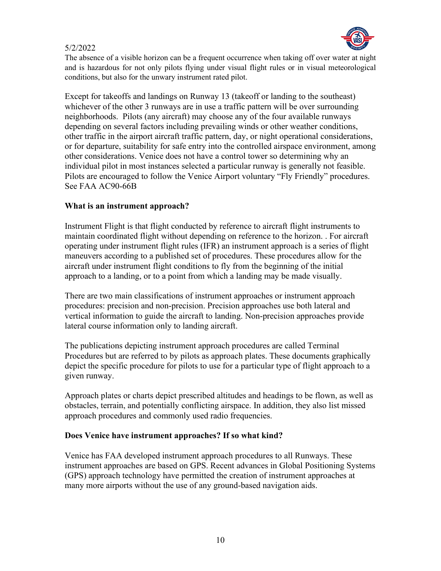

The absence of a visible horizon can be a frequent occurrence when taking off over water at night and is hazardous for not only pilots flying under visual flight rules or in visual meteorological conditions, but also for the unwary instrument rated pilot.

Except for takeoffs and landings on Runway 13 (takeoff or landing to the southeast) whichever of the other 3 runways are in use a traffic pattern will be over surrounding neighborhoods. Pilots (any aircraft) may choose any of the four available runways depending on several factors including prevailing winds or other weather conditions, other traffic in the airport aircraft traffic pattern, day, or night operational considerations, or for departure, suitability for safe entry into the controlled airspace environment, among other considerations. Venice does not have a control tower so determining why an individual pilot in most instances selected a particular runway is generally not feasible. Pilots are encouraged to follow the Venice Airport voluntary "Fly Friendly" procedures. See FAA AC90-66B

#### **What is an instrument approach?**

Instrument Flight is that flight conducted by reference to aircraft flight instruments to maintain coordinated flight without depending on reference to the horizon. . For aircraft operating under instrument flight rules (IFR) an instrument approach is a series of flight maneuvers according to a published set of procedures. These procedures allow for the aircraft under instrument flight conditions to fly from the beginning of the initial approach to a landing, or to a point from which a landing may be made visually.

There are two main classifications of instrument approaches or instrument approach procedures: precision and non-precision. Precision approaches use both lateral and vertical information to guide the aircraft to landing. Non-precision approaches provide lateral course information only to landing aircraft.

The publications depicting instrument approach procedures are called Terminal Procedures but are referred to by pilots as approach plates. These documents graphically depict the specific procedure for pilots to use for a particular type of flight approach to a given runway.

Approach plates or charts depict prescribed altitudes and headings to be flown, as well as obstacles, terrain, and potentially conflicting airspace. In addition, they also list missed approach procedures and commonly used radio frequencies.

#### **Does Venice have instrument approaches? If so what kind?**

Venice has FAA developed instrument approach procedures to all Runways. These instrument approaches are based on GPS. Recent advances in Global Positioning Systems (GPS) approach technology have permitted the creation of instrument approaches at many more airports without the use of any ground-based navigation aids.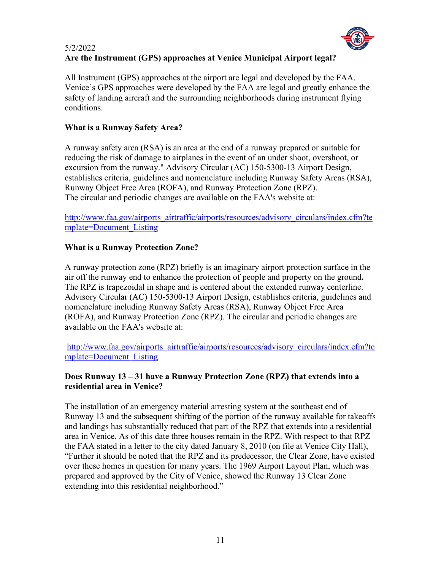#### 5/2/2022 **Are the Instrument (GPS) approaches at Venice Municipal Airport legal?**

All Instrument (GPS) approaches at the airport are legal and developed by the FAA. Venice's GPS approaches were developed by the FAA are legal and greatly enhance the safety of landing aircraft and the surrounding neighborhoods during instrument flying conditions.

# **What is a Runway Safety Area?**

A runway safety area (RSA) is an area at the end of a runway prepared or suitable for reducing the risk of damage to airplanes in the event of an under shoot, overshoot, or excursion from the runway." Advisory Circular (AC) 150-5300-13 Airport Design, establishes criteria, guidelines and nomenclature including Runway Safety Areas (RSA), Runway Object Free Area (ROFA), and Runway Protection Zone (RPZ). The circular and periodic changes are available on the FAA's website at:

[http://www.faa.gov/airports\\_airtraffic/airports/resources/advisory\\_circulars/index.cfm?te](http://www.faa.gov/airports_airtraffic/airports/resources/advisory_circulars/index.cfm?template=Document_Listing) [mplate=Document\\_Listing](http://www.faa.gov/airports_airtraffic/airports/resources/advisory_circulars/index.cfm?template=Document_Listing)

# **What is a Runway Protection Zone?**

A runway protection zone (RPZ) briefly is an imaginary airport protection surface in the air off the runway end to enhance the protection of people and property on the ground**.**  The RPZ is trapezoidal in shape and is centered about the extended runway centerline. Advisory Circular (AC) 150-5300-13 Airport Design, establishes criteria, guidelines and nomenclature including Runway Safety Areas (RSA), Runway Object Free Area (ROFA), and Runway Protection Zone (RPZ). The circular and periodic changes are available on the FAA's website at:

[http://www.faa.gov/airports\\_airtraffic/airports/resources/advisory\\_circulars/index.cfm?te](http://www.faa.gov/airports_airtraffic/airports/resources/advisory_circulars/index.cfm?template=Document_Listing) [mplate=Document\\_Listing.](http://www.faa.gov/airports_airtraffic/airports/resources/advisory_circulars/index.cfm?template=Document_Listing)

# **Does Runway 13 – 31 have a Runway Protection Zone (RPZ) that extends into a residential area in Venice?**

The installation of an emergency material arresting system at the southeast end of Runway 13 and the subsequent shifting of the portion of the runway available for takeoffs and landings has substantially reduced that part of the RPZ that extends into a residential area in Venice. As of this date three houses remain in the RPZ. With respect to that RPZ the FAA stated in a letter to the city dated January 8, 2010 (on file at Venice City Hall), "Further it should be noted that the RPZ and its predecessor, the Clear Zone, have existed over these homes in question for many years. The 1969 Airport Layout Plan, which was prepared and approved by the City of Venice, showed the Runway 13 Clear Zone extending into this residential neighborhood."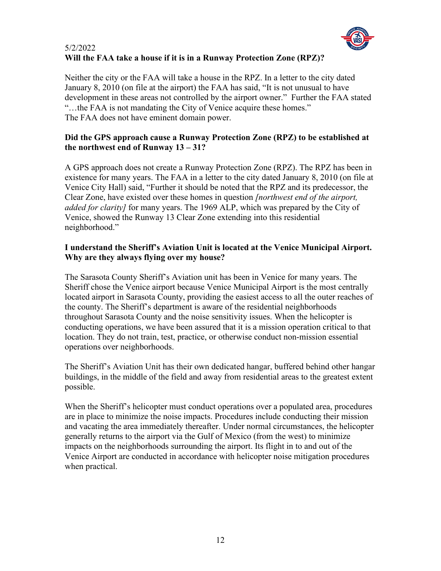

# 5/2/2022 **Will the FAA take a house if it is in a Runway Protection Zone (RPZ)?**

Neither the city or the FAA will take a house in the RPZ. In a letter to the city dated January 8, 2010 (on file at the airport) the FAA has said, "It is not unusual to have development in these areas not controlled by the airport owner." Further the FAA stated "…the FAA is not mandating the City of Venice acquire these homes." The FAA does not have eminent domain power.

## **Did the GPS approach cause a Runway Protection Zone (RPZ) to be established at the northwest end of Runway 13 – 31?**

A GPS approach does not create a Runway Protection Zone (RPZ). The RPZ has been in existence for many years. The FAA in a letter to the city dated January 8, 2010 (on file at Venice City Hall) said, "Further it should be noted that the RPZ and its predecessor, the Clear Zone, have existed over these homes in question *[northwest end of the airport, added for clarity]* for many years. The 1969 ALP, which was prepared by the City of Venice, showed the Runway 13 Clear Zone extending into this residential neighborhood."

## **I understand the Sheriff's Aviation Unit is located at the Venice Municipal Airport. Why are they always flying over my house?**

The Sarasota County Sheriff's Aviation unit has been in Venice for many years. The Sheriff chose the Venice airport because Venice Municipal Airport is the most centrally located airport in Sarasota County, providing the easiest access to all the outer reaches of the county. The Sheriff's department is aware of the residential neighborhoods throughout Sarasota County and the noise sensitivity issues. When the helicopter is conducting operations, we have been assured that it is a mission operation critical to that location. They do not train, test, practice, or otherwise conduct non-mission essential operations over neighborhoods.

The Sheriff's Aviation Unit has their own dedicated hangar, buffered behind other hangar buildings, in the middle of the field and away from residential areas to the greatest extent possible.

When the Sheriff's helicopter must conduct operations over a populated area, procedures are in place to minimize the noise impacts. Procedures include conducting their mission and vacating the area immediately thereafter. Under normal circumstances, the helicopter generally returns to the airport via the Gulf of Mexico (from the west) to minimize impacts on the neighborhoods surrounding the airport. Its flight in to and out of the Venice Airport are conducted in accordance with helicopter noise mitigation procedures when practical.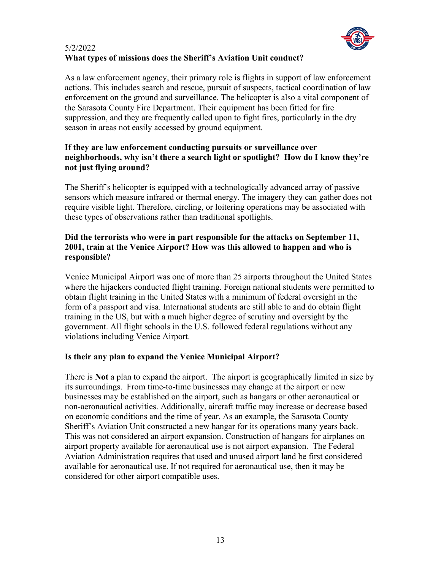

# 5/2/2022 **What types of missions does the Sheriff's Aviation Unit conduct?**

As a law enforcement agency, their primary role is flights in support of law enforcement actions. This includes search and rescue, pursuit of suspects, tactical coordination of law enforcement on the ground and surveillance. The helicopter is also a vital component of the Sarasota County Fire Department. Their equipment has been fitted for fire suppression, and they are frequently called upon to fight fires, particularly in the dry season in areas not easily accessed by ground equipment.

# **If they are law enforcement conducting pursuits or surveillance over neighborhoods, why isn't there a search light or spotlight? How do I know they're not just flying around?**

The Sheriff's helicopter is equipped with a technologically advanced array of passive sensors which measure infrared or thermal energy. The imagery they can gather does not require visible light. Therefore, circling, or loitering operations may be associated with these types of observations rather than traditional spotlights.

# **Did the terrorists who were in part responsible for the attacks on September 11, 2001, train at the Venice Airport? How was this allowed to happen and who is responsible?**

Venice Municipal Airport was one of more than 25 airports throughout the United States where the hijackers conducted flight training. Foreign national students were permitted to obtain flight training in the United States with a minimum of federal oversight in the form of a passport and visa. International students are still able to and do obtain flight training in the US, but with a much higher degree of scrutiny and oversight by the government. All flight schools in the U.S. followed federal regulations without any violations including Venice Airport.

# **Is their any plan to expand the Venice Municipal Airport?**

There is **Not** a plan to expand the airport. The airport is geographically limited in size by its surroundings. From time-to-time businesses may change at the airport or new businesses may be established on the airport, such as hangars or other aeronautical or non-aeronautical activities. Additionally, aircraft traffic may increase or decrease based on economic conditions and the time of year. As an example, the Sarasota County Sheriff's Aviation Unit constructed a new hangar for its operations many years back. This was not considered an airport expansion. Construction of hangars for airplanes on airport property available for aeronautical use is not airport expansion. The Federal Aviation Administration requires that used and unused airport land be first considered available for aeronautical use. If not required for aeronautical use, then it may be considered for other airport compatible uses.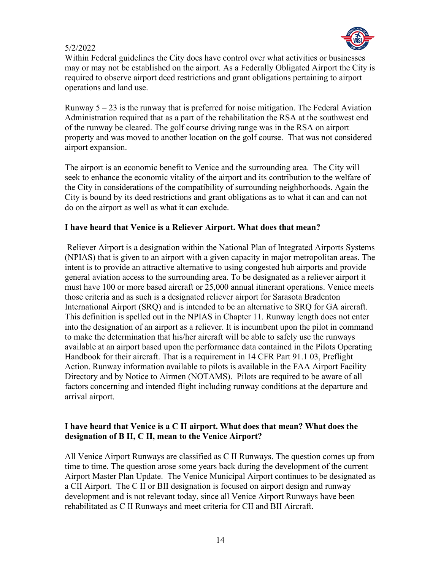

Within Federal guidelines the City does have control over what activities or businesses may or may not be established on the airport. As a Federally Obligated Airport the City is required to observe airport deed restrictions and grant obligations pertaining to airport operations and land use.

Runway  $5 - 23$  is the runway that is preferred for noise mitigation. The Federal Aviation Administration required that as a part of the rehabilitation the RSA at the southwest end of the runway be cleared. The golf course driving range was in the RSA on airport property and was moved to another location on the golf course. That was not considered airport expansion.

The airport is an economic benefit to Venice and the surrounding area. The City will seek to enhance the economic vitality of the airport and its contribution to the welfare of the City in considerations of the compatibility of surrounding neighborhoods. Again the City is bound by its deed restrictions and grant obligations as to what it can and can not do on the airport as well as what it can exclude.

#### **I have heard that Venice is a Reliever Airport. What does that mean?**

Reliever Airport is a designation within the National Plan of Integrated Airports Systems (NPIAS) that is given to an airport with a given capacity in major metropolitan areas. The intent is to provide an attractive alternative to using congested hub airports and provide general aviation access to the surrounding area. To be designated as a reliever airport it must have 100 or more based aircraft or 25,000 annual itinerant operations. Venice meets those criteria and as such is a designated reliever airport for Sarasota Bradenton International Airport (SRQ) and is intended to be an alternative to SRQ for GA aircraft. This definition is spelled out in the NPIAS in Chapter 11. Runway length does not enter into the designation of an airport as a reliever. It is incumbent upon the pilot in command to make the determination that his/her aircraft will be able to safely use the runways available at an airport based upon the performance data contained in the Pilots Operating Handbook for their aircraft. That is a requirement in 14 CFR Part 91.1 03, Preflight Action. Runway information available to pilots is available in the FAA Airport Facility Directory and by Notice to Airmen (NOTAMS). Pilots are required to be aware of all factors concerning and intended flight including runway conditions at the departure and arrival airport.

#### **I have heard that Venice is a C II airport. What does that mean? What does the designation of B II, C II, mean to the Venice Airport?**

All Venice Airport Runways are classified as C II Runways. The question comes up from time to time. The question arose some years back during the development of the current Airport Master Plan Update. The Venice Municipal Airport continues to be designated as a CII Airport. The C II or BII designation is focused on airport design and runway development and is not relevant today, since all Venice Airport Runways have been rehabilitated as C II Runways and meet criteria for CII and BII Aircraft.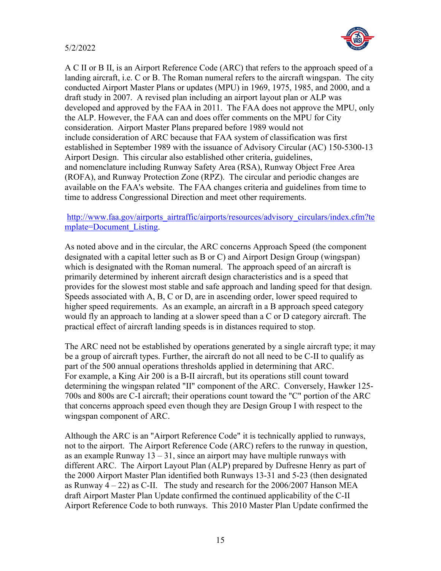

A C II or B II, is an Airport Reference Code (ARC) that refers to the approach speed of a landing aircraft, i.e. C or B. The Roman numeral refers to the aircraft wingspan. The city conducted Airport Master Plans or updates (MPU) in 1969, 1975, 1985, and 2000, and a draft study in 2007. A revised plan including an airport layout plan or ALP was developed and approved by the FAA in 2011. The FAA does not approve the MPU, only the ALP. However, the FAA can and does offer comments on the MPU for City consideration. Airport Master Plans prepared before 1989 would not include consideration of ARC because that FAA system of classification was first established in September 1989 with the issuance of Advisory Circular (AC) 150-5300-13 Airport Design. This circular also established other criteria, guidelines, and nomenclature including Runway Safety Area (RSA), Runway Object Free Area (ROFA), and Runway Protection Zone (RPZ). The circular and periodic changes are available on the FAA's website. The FAA changes criteria and guidelines from time to time to address Congressional Direction and meet other requirements.

#### [http://www.faa.gov/airports\\_airtraffic/airports/resources/advisory\\_circulars/index.cfm?te](http://www.faa.gov/airports_airtraffic/airports/resources/advisory_circulars/index.cfm?template=Document_Listing) [mplate=Document\\_Listing.](http://www.faa.gov/airports_airtraffic/airports/resources/advisory_circulars/index.cfm?template=Document_Listing)

As noted above and in the circular, the ARC concerns Approach Speed (the component designated with a capital letter such as B or C) and Airport Design Group (wingspan) which is designated with the Roman numeral. The approach speed of an aircraft is primarily determined by inherent aircraft design characteristics and is a speed that provides for the slowest most stable and safe approach and landing speed for that design. Speeds associated with A, B, C or D, are in ascending order, lower speed required to higher speed requirements. As an example, an aircraft in a B approach speed category would fly an approach to landing at a slower speed than a C or D category aircraft. The practical effect of aircraft landing speeds is in distances required to stop.

The ARC need not be established by operations generated by a single aircraft type; it may be a group of aircraft types. Further, the aircraft do not all need to be C-II to qualify as part of the 500 annual operations thresholds applied in determining that ARC. For example, a King Air 200 is a B-II aircraft, but its operations still count toward determining the wingspan related "II" component of the ARC. Conversely, Hawker 125- 700s and 800s are C-I aircraft; their operations count toward the "C" portion of the ARC that concerns approach speed even though they are Design Group I with respect to the wingspan component of ARC.

Although the ARC is an "Airport Reference Code" it is technically applied to runways, not to the airport. The Airport Reference Code (ARC) refers to the runway in question, as an example Runway  $13 - 31$ , since an airport may have multiple runways with different ARC. The Airport Layout Plan (ALP) prepared by Dufresne Henry as part of the 2000 Airport Master Plan identified both Runways 13-31 and 5-23 (then designated as Runway  $4 - 22$ ) as C-II. The study and research for the 2006/2007 Hanson MEA draft Airport Master Plan Update confirmed the continued applicability of the C-II Airport Reference Code to both runways. This 2010 Master Plan Update confirmed the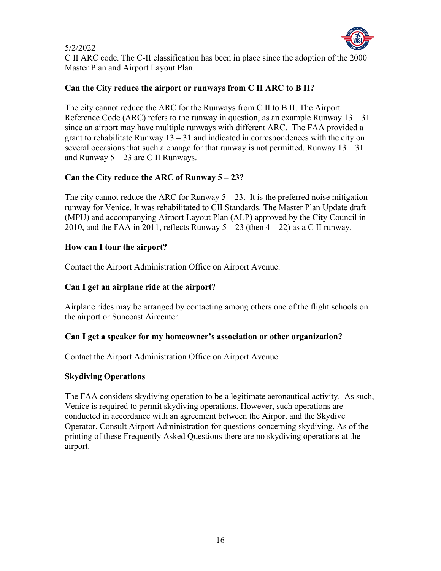

C II ARC code. The C-II classification has been in place since the adoption of the 2000 Master Plan and Airport Layout Plan.

# **Can the City reduce the airport or runways from C II ARC to B II?**

The city cannot reduce the ARC for the Runways from C II to B II. The Airport Reference Code (ARC) refers to the runway in question, as an example Runway  $13 - 31$ since an airport may have multiple runways with different ARC. The FAA provided a grant to rehabilitate Runway  $13 - 31$  and indicated in correspondences with the city on several occasions that such a change for that runway is not permitted. Runway  $13 - 31$ and Runway  $5 - 23$  are C II Runways.

# **Can the City reduce the ARC of Runway 5 – 23?**

The city cannot reduce the ARC for Runway  $5 - 23$ . It is the preferred noise mitigation runway for Venice. It was rehabilitated to CII Standards. The Master Plan Update draft (MPU) and accompanying Airport Layout Plan (ALP) approved by the City Council in 2010, and the FAA in 2011, reflects Runway  $5 - 23$  (then  $4 - 22$ ) as a C II runway.

# **How can I tour the airport?**

Contact the Airport Administration Office on Airport Avenue.

# **Can I get an airplane ride at the airport**?

Airplane rides may be arranged by contacting among others one of the flight schools on the airport or Suncoast Aircenter.

# **Can I get a speaker for my homeowner's association or other organization?**

Contact the Airport Administration Office on Airport Avenue.

# **Skydiving Operations**

The FAA considers skydiving operation to be a legitimate aeronautical activity. As such, Venice is required to permit skydiving operations. However, such operations are conducted in accordance with an agreement between the Airport and the Skydive Operator. Consult Airport Administration for questions concerning skydiving. As of the printing of these Frequently Asked Questions there are no skydiving operations at the airport.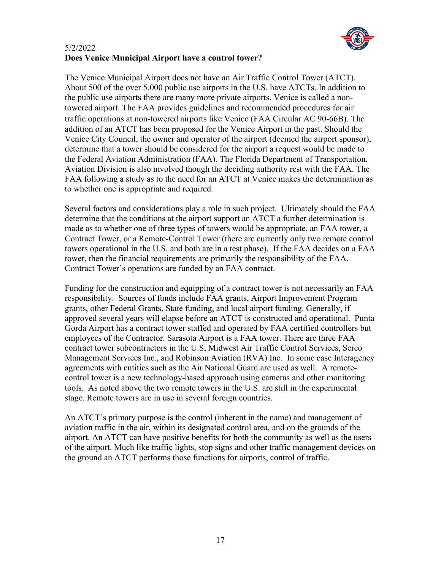

# 5/2/2022 **Does Venice Municipal Airport have a control tower?**

The Venice Municipal Airport does not have an Air Traffic Control Tower (ATCT). About 500 of the over 5,000 public use airports in the U.S. have ATCTs. In addition to the public use airports there are many more private airports. Venice is called a nontowered airport. The FAA provides guidelines and recommended procedures for air traffic operations at non-towered airports like Venice (FAA Circular AC 90-66B). The addition of an ATCT has been proposed for the Venice Airport in the past. Should the Venice City Council, the owner and operator of the airport (deemed the airport sponsor), determine that a tower should be considered for the airport a request would be made to the Federal Aviation Administration (FAA). The Florida Department of Transportation, Aviation Division is also involved though the deciding authority rest with the FAA. The FAA following a study as to the need for an ATCT at Venice makes the determination as to whether one is appropriate and required.

Several factors and considerations play a role in such project. Ultimately should the FAA determine that the conditions at the airport support an ATCT a further determination is made as to whether one of three types of towers would be appropriate, an FAA tower, a Contract Tower, or a Remote-Control Tower (there are currently only two remote control towers operational in the U.S. and both are in a test phase). If the FAA decides on a FAA tower, then the financial requirements are primarily the responsibility of the FAA. Contract Tower's operations are funded by an FAA contract.

Funding for the construction and equipping of a contract tower is not necessarily an FAA responsibility. Sources of funds include FAA grants, Airport Improvement Program grants, other Federal Grants, State funding, and local airport funding. Generally, if approved several years will elapse before an ATCT is constructed and operational. Punta Gorda Airport has a contract tower staffed and operated by FAA certified controllers but employees of the Contractor. Sarasota Airport is a FAA tower. There are three FAA contract tower subcontractors in the U.S, Midwest Air Traffic Control Services, Serco Management Services Inc., and Robinson Aviation (RVA) Inc. In some case Interagency agreements with entities such as the Air National Guard are used as well. A remotecontrol tower is a new technology-based approach using cameras and other monitoring tools. As noted above the two remote towers in the U.S. are still in the experimental stage. Remote towers are in use in several foreign countries.

An ATCT's primary purpose is the control (inherent in the name) and management of aviation traffic in the air, within its designated control area, and on the grounds of the airport. An ATCT can have positive benefits for both the community as well as the users of the airport. Much like traffic lights, stop signs and other traffic management devices on the ground an ATCT performs those functions for airports, control of traffic.